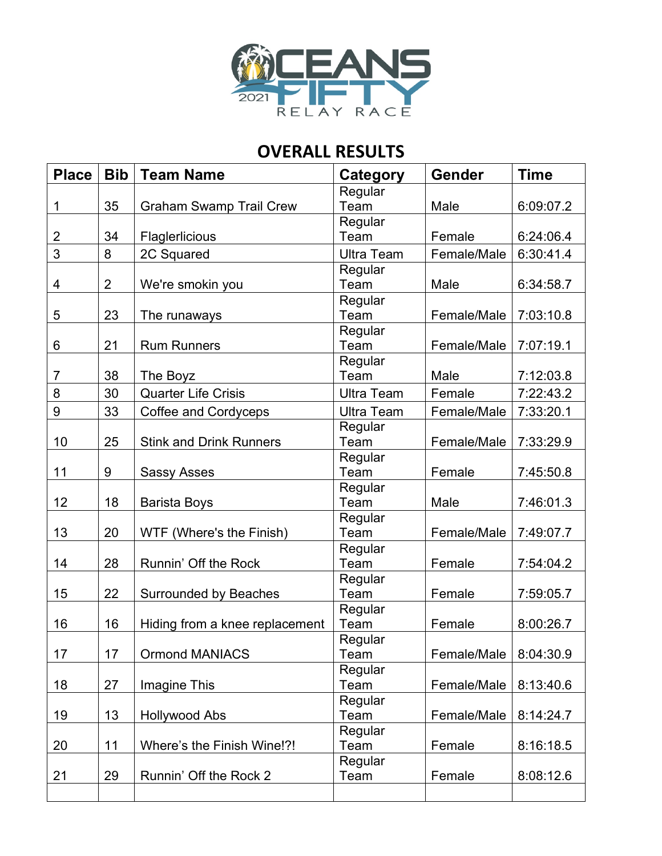

## **OVERALL RESULTS**

| <b>Place</b>   | <b>Bib</b>     | <b>Team Name</b>               | Category          | <b>Gender</b> | <b>Time</b> |
|----------------|----------------|--------------------------------|-------------------|---------------|-------------|
|                |                |                                | Regular           |               |             |
| 1              | 35             | <b>Graham Swamp Trail Crew</b> | Team              | Male          | 6:09:07.2   |
|                |                |                                | Regular           |               |             |
| 2              | 34             | Flaglerlicious                 | Team              | Female        | 6:24:06.4   |
| 3              | 8              | 2C Squared                     | <b>Ultra Team</b> | Female/Male   | 6:30:41.4   |
|                |                |                                | Regular           |               |             |
| 4              | $\overline{2}$ | We're smokin you               | Team              | Male          | 6:34:58.7   |
|                |                |                                | Regular           |               |             |
| 5              | 23             | The runaways                   | Team              | Female/Male   | 7:03:10.8   |
|                |                |                                | Regular           |               |             |
| 6              | 21             | <b>Rum Runners</b>             | Team              | Female/Male   | 7:07:19.1   |
|                |                |                                | Regular           |               |             |
| $\overline{7}$ | 38             | The Boyz                       | Team              | Male          | 7:12:03.8   |
| 8              | 30             | <b>Quarter Life Crisis</b>     | <b>Ultra Team</b> | Female        | 7:22:43.2   |
| 9              | 33             | Coffee and Cordyceps           | <b>Ultra Team</b> | Female/Male   | 7:33:20.1   |
|                |                |                                | Regular           |               |             |
| 10             | 25             | <b>Stink and Drink Runners</b> | Team              | Female/Male   | 7:33:29.9   |
|                |                |                                | Regular           |               |             |
| 11             | 9              | <b>Sassy Asses</b>             | Team              | Female        | 7:45:50.8   |
|                |                |                                | Regular           |               |             |
| 12             | 18             | <b>Barista Boys</b>            | Team              | Male          | 7:46:01.3   |
|                |                |                                | Regular           |               |             |
| 13             | 20             | WTF (Where's the Finish)       | Team              | Female/Male   | 7:49:07.7   |
|                |                |                                | Regular           |               |             |
| 14             | 28             | Runnin' Off the Rock           | Team              | Female        | 7:54:04.2   |
|                |                |                                | Regular           |               |             |
| 15             | 22             | Surrounded by Beaches          | Team              | Female        | 7:59:05.7   |
|                |                |                                | Regular           |               |             |
| 16             | 16             | Hiding from a knee replacement | Team              | Female        | 8:00:26.7   |
| 17             | 17             |                                | Regular           |               | 8:04:30.9   |
|                |                | <b>Ormond MANIACS</b>          | Team              | Female/Male   |             |
| 18             | 27             |                                | Regular<br>Team   | Female/Male   | 8:13:40.6   |
|                |                | Imagine This                   |                   |               |             |
| 19             | 13             | <b>Hollywood Abs</b>           | Regular<br>Team   | Female/Male   | 8:14:24.7   |
|                |                |                                | Regular           |               |             |
| 20             | 11             | Where's the Finish Wine!?!     | Team              | Female        | 8:16:18.5   |
|                |                |                                | Regular           |               |             |
| 21             | 29             | Runnin' Off the Rock 2         | Team              | Female        | 8:08:12.6   |
|                |                |                                |                   |               |             |
|                |                |                                |                   |               |             |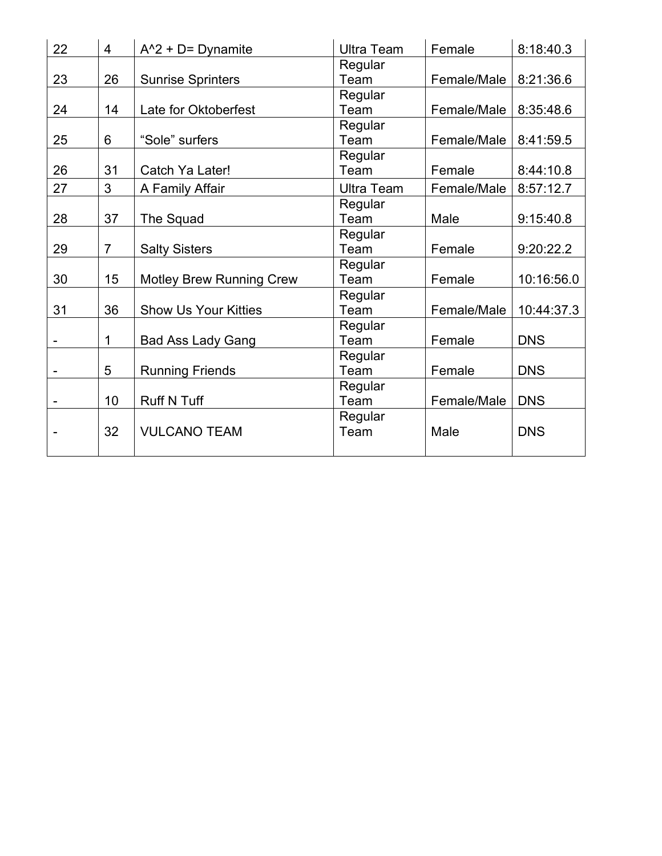| 22 | 4              | $A^2 + D =$ Dynamite            | <b>Ultra Team</b> | Female      | 8:18:40.3  |
|----|----------------|---------------------------------|-------------------|-------------|------------|
|    |                |                                 | Regular           |             |            |
| 23 | 26             | <b>Sunrise Sprinters</b>        | Team              | Female/Male | 8:21:36.6  |
|    |                |                                 | Regular           |             |            |
| 24 | 14             | Late for Oktoberfest            | Team              | Female/Male | 8:35:48.6  |
|    |                |                                 | Regular           |             |            |
| 25 | 6              | "Sole" surfers                  | Team              | Female/Male | 8:41:59.5  |
|    |                |                                 | Regular           |             |            |
| 26 | 31             | Catch Ya Later!                 | Team              | Female      | 8:44:10.8  |
| 27 | 3              | A Family Affair                 | <b>Ultra Team</b> | Female/Male | 8:57:12.7  |
|    |                |                                 | Regular           |             |            |
| 28 | 37             | The Squad                       | Team              | Male        | 9:15:40.8  |
|    |                |                                 | Regular           |             |            |
| 29 | $\overline{7}$ | <b>Salty Sisters</b>            | Team              | Female      | 9:20:22.2  |
|    |                |                                 | Regular           |             |            |
| 30 | 15             | <b>Motley Brew Running Crew</b> | Team              | Female      | 10:16:56.0 |
|    |                |                                 | Regular           |             |            |
| 31 | 36             | <b>Show Us Your Kitties</b>     | Team              | Female/Male | 10:44:37.3 |
|    |                |                                 | Regular           |             |            |
|    | 1              | <b>Bad Ass Lady Gang</b>        | Team              | Female      | <b>DNS</b> |
|    |                |                                 | Regular           |             |            |
|    | 5              | <b>Running Friends</b>          | Team              | Female      | <b>DNS</b> |
|    |                |                                 | Regular           |             |            |
|    | 10             | <b>Ruff N Tuff</b>              | Team              | Female/Male | <b>DNS</b> |
|    |                |                                 | Regular           |             |            |
|    | 32             | <b>VULCANO TEAM</b>             | Team              | Male        | <b>DNS</b> |
|    |                |                                 |                   |             |            |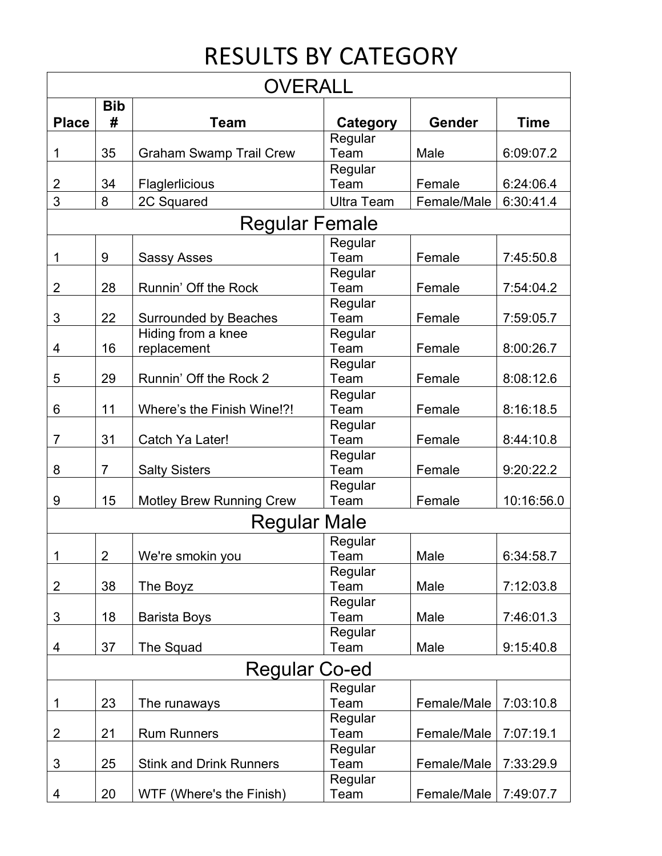## RESULTS BY CATEGORY

| <b>OVERALL</b>      |                         |                                 |                   |             |             |  |
|---------------------|-------------------------|---------------------------------|-------------------|-------------|-------------|--|
|                     | <b>Bib</b>              |                                 |                   |             |             |  |
| <b>Place</b>        | #                       | <b>Team</b>                     | Category          | Gender      | <b>Time</b> |  |
|                     |                         |                                 | Regular           |             |             |  |
| 1                   | 35                      | <b>Graham Swamp Trail Crew</b>  | Team              | Male        | 6:09:07.2   |  |
|                     |                         |                                 | Regular           |             |             |  |
| 2                   | 34                      | Flaglerlicious                  | Team              | Female      | 6:24:06.4   |  |
| 3                   | 8                       | 2C Squared                      | <b>Ultra Team</b> | Female/Male | 6:30:41.4   |  |
| Regular Female      |                         |                                 |                   |             |             |  |
|                     |                         |                                 | Regular           |             |             |  |
| 1                   | 9                       | <b>Sassy Asses</b>              | Team              | Female      | 7:45:50.8   |  |
|                     |                         |                                 | Regular           |             |             |  |
| 2                   | 28                      | Runnin' Off the Rock            | Team              | Female      | 7:54:04.2   |  |
|                     |                         |                                 | Regular           |             |             |  |
| 3                   | 22                      | Surrounded by Beaches           | Team              | Female      | 7:59:05.7   |  |
|                     |                         | Hiding from a knee              | Regular           |             |             |  |
| 4                   | 16                      | replacement                     | Team              | Female      | 8:00:26.7   |  |
|                     |                         |                                 | Regular           |             |             |  |
| 5                   | 29                      | Runnin' Off the Rock 2          | Team              | Female      | 8:08:12.6   |  |
|                     |                         |                                 | Regular           |             |             |  |
| 6                   | 11                      | Where's the Finish Wine!?!      | Team              | Female      | 8:16:18.5   |  |
| $\overline{7}$      | 31                      | Catch Ya Later!                 | Regular<br>Team   | Female      | 8:44:10.8   |  |
|                     |                         |                                 | Regular           |             |             |  |
| 8                   | 7                       | <b>Salty Sisters</b>            | Team              | Female      | 9:20:22.2   |  |
|                     |                         |                                 | Regular           |             |             |  |
| 9                   | 15                      | <b>Motley Brew Running Crew</b> | Team              | Female      | 10:16:56.0  |  |
| <b>Regular Male</b> |                         |                                 |                   |             |             |  |
| Regular             |                         |                                 |                   |             |             |  |
| 1                   | $\overline{\mathbf{c}}$ | We're smokin you                | Team              | Male        | 6:34:58.7   |  |
|                     |                         |                                 | Regular           |             |             |  |
| 2                   | 38                      | The Boyz                        | Team              | Male        | 7:12:03.8   |  |
|                     |                         |                                 | Regular           |             |             |  |
| 3                   | 18                      | <b>Barista Boys</b>             | Team              | Male        | 7:46:01.3   |  |
|                     |                         |                                 | Regular           |             |             |  |
| 4                   | 37                      | The Squad                       | Team              | Male        | 9:15:40.8   |  |
| Regular Co-ed       |                         |                                 |                   |             |             |  |
|                     |                         |                                 | Regular           |             |             |  |
| 1                   | 23                      | The runaways                    | Team              | Female/Male | 7:03:10.8   |  |
|                     |                         |                                 | Regular           |             |             |  |
| 2                   | 21                      | <b>Rum Runners</b>              | Team              | Female/Male | 7:07:19.1   |  |
|                     |                         |                                 | Regular           |             |             |  |
| 3                   | 25                      | <b>Stink and Drink Runners</b>  | Team              | Female/Male | 7:33:29.9   |  |
|                     |                         |                                 | Regular           |             |             |  |
| 4                   | 20                      | WTF (Where's the Finish)        | Team              | Female/Male | 7:49:07.7   |  |